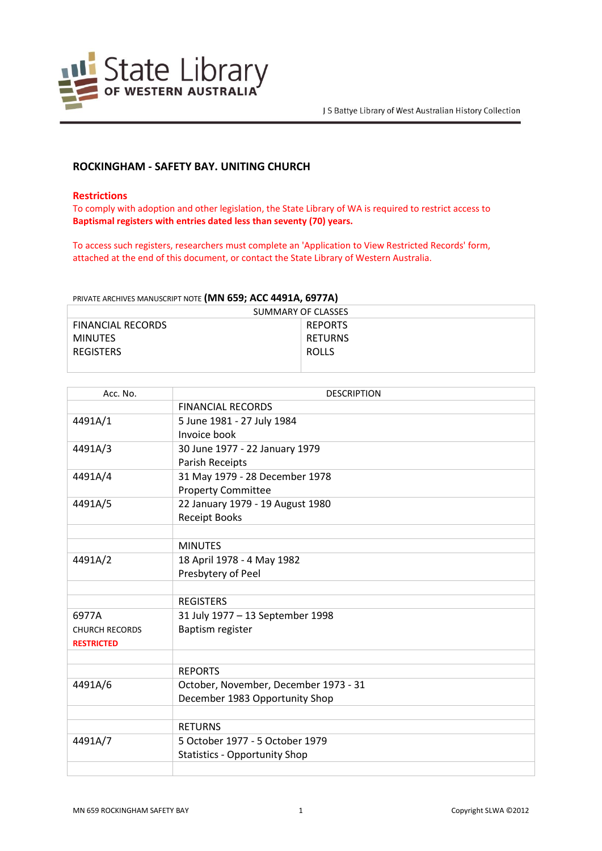

# **ROCKINGHAM - SAFETY BAY. UNITING CHURCH**

### **Restrictions**

To comply with adoption and other legislation, the State Library of WA is required to restrict access to **Baptismal registers with entries dated less than seventy (70) years.**

To access such registers, researchers must complete an 'Application to View Restricted Records' form, attached at the end of this document, or contact the State Library of Western Australia.

### PRIVATE ARCHIVES MANUSCRIPT NOTE **(MN 659; ACC 4491A, 6977A)**

| SUMMARY OF CLASSES       |                |  |
|--------------------------|----------------|--|
| <b>FINANCIAL RECORDS</b> | <b>REPORTS</b> |  |
| <b>MINUTES</b>           | <b>RETURNS</b> |  |
| <b>REGISTERS</b>         | <b>ROLLS</b>   |  |
|                          |                |  |

| Acc. No.              | <b>DESCRIPTION</b>                    |
|-----------------------|---------------------------------------|
|                       | <b>FINANCIAL RECORDS</b>              |
| 4491A/1               | 5 June 1981 - 27 July 1984            |
|                       | Invoice book                          |
| 4491A/3               | 30 June 1977 - 22 January 1979        |
|                       | Parish Receipts                       |
| 4491A/4               | 31 May 1979 - 28 December 1978        |
|                       | <b>Property Committee</b>             |
| 4491A/5               | 22 January 1979 - 19 August 1980      |
|                       | <b>Receipt Books</b>                  |
|                       |                                       |
|                       | <b>MINUTES</b>                        |
| 4491A/2               | 18 April 1978 - 4 May 1982            |
|                       | Presbytery of Peel                    |
|                       |                                       |
|                       | <b>REGISTERS</b>                      |
| 6977A                 | 31 July 1977 - 13 September 1998      |
| <b>CHURCH RECORDS</b> | Baptism register                      |
| <b>RESTRICTED</b>     |                                       |
|                       |                                       |
|                       | <b>REPORTS</b>                        |
| 4491A/6               | October, November, December 1973 - 31 |
|                       | December 1983 Opportunity Shop        |
|                       |                                       |
|                       | <b>RETURNS</b>                        |
| 4491A/7               | 5 October 1977 - 5 October 1979       |
|                       | <b>Statistics - Opportunity Shop</b>  |
|                       |                                       |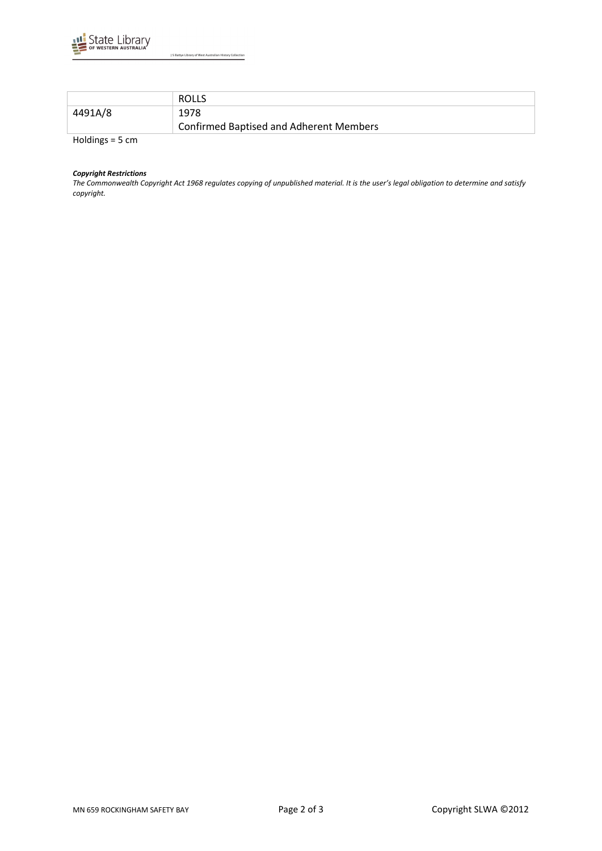

J S Battye Library of West Australian History Collection

|         | <b>ROLLS</b>                            |
|---------|-----------------------------------------|
| 4491A/8 | 1978                                    |
|         | Confirmed Baptised and Adherent Members |

Holdings = 5 cm

## *Copyright Restrictions*

*The Commonwealth Copyright Act 1968 regulates copying of unpublished material. It is the user's legal obligation to determine and satisfy copyright.*